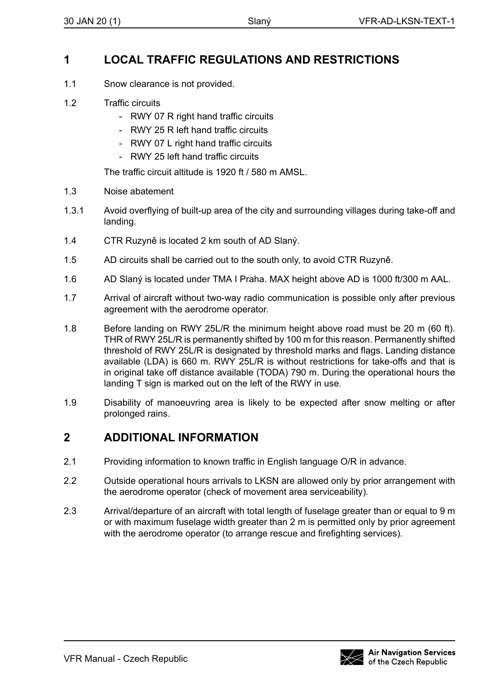## **1 LOCAL TRAFFIC REGULATIONS AND RESTRICTIONS**

- 1.1 Snow clearance is not provided.
- 1.2 Traffic circuits
	- RWY 07 R right hand traffic circuits
	- RWY 25 R left hand traffic circuits
	- RWY 07 L right hand traffic circuits
	- RWY 25 left hand traffic circuits

The traffic circuit altitude is 1920 ft / 580 m AMSL.

- 1.3 Noise abatement
- 1.3.1 Avoid overflying of built-up area of the city and surrounding villages during take-off and landing.
- 1.4 CTR Ruzyně is located 2 km south of AD Slaný.
- 1.5 AD circuits shall be carried out to the south only, to avoid CTR Ruzyně.
- 1.6 AD Slaný is located under TMA I Praha. MAX height above AD is 1000 ft/300 m AAL.
- 1.7 Arrival of aircraft without two-way radio communication is possible only after previous agreement with the aerodrome operator.
- 1.8 Before landing on RWY 25L/R the minimum height above road must be 20 m (60 ft). THR of RWY 25L/R is permanently shifted by 100 m for this reason. Permanently shifted threshold of RWY 25L/R is designated by threshold marks and flags. Landing distance available (LDA) is 660 m. RWY 25L/R is without restrictions for take-offs and that is in original take off distance available (TODA) 790 m. During the operational hours the landing T sign is marked out on the left of the RWY in use.
- 1.9 Disability of manoeuvring area is likely to be expected after snow melting or after prolonged rains.

## **2 ADDITIONAL INFORMATION**

- 2.1 Providing information to known traffic in English language O/R in advance.
- 2.2 Outside operational hours arrivals to LKSN are allowed only by prior arrangement with the aerodrome operator (check of movement area serviceability).
- 2.3 Arrival/departure of an aircraft with total length of fuselage greater than or equal to 9 m or with maximum fuselage width greater than 2 m is permitted only by prior agreement with the aerodrome operator (to arrange rescue and firefighting services).